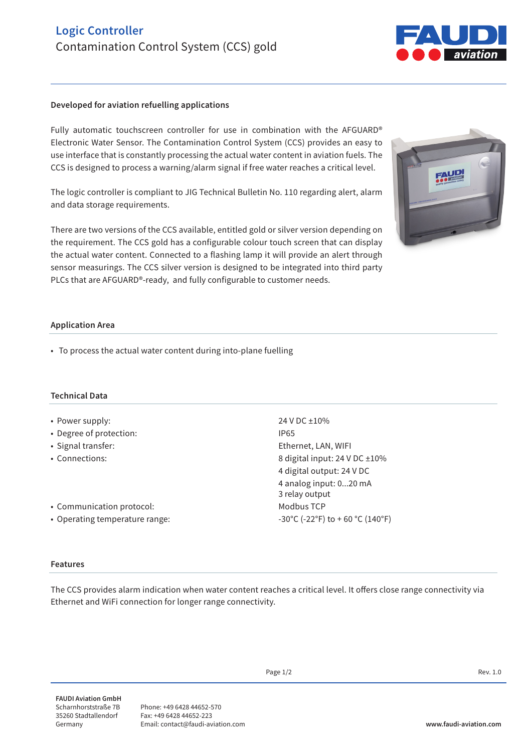# **Logic Controller** Contamination Control System (CCS) gold

# **Developed for aviation refuelling applications**

Fully automatic touchscreen controller for use in combination with the AFGUARD® Electronic Water Sensor. The Contamination Control System (CCS) provides an easy to use interface that is constantly processing the actual water content in aviation fuels. The CCS is designed to process a warning/alarm signal if free water reaches a critical level.

The logic controller is compliant to JIG Technical Bulletin No. 110 regarding alert, alarm and data storage requirements.

There are two versions of the CCS available, entitled gold or silver version depending on the requirement. The CCS gold has a configurable colour touch screen that can display the actual water content. Connected to a flashing lamp it will provide an alert through sensor measurings. The CCS silver version is designed to be integrated into third party PLCs that are AFGUARD®-ready, and fully configurable to customer needs.



# **Application Area**

• To process the actual water content during into-plane fuelling

#### **Technical Data**

- Power supply: 24 V DC ±10%
- Degree of protection: IP65
- 
- 
- Communication protocol: Modbus TCP
- Operating temperature range:  $-30^{\circ}C$  (-22°F) to + 60  $^{\circ}C$  (140°F)

# • Signal transfer: Ethernet, LAN, WIFI • Connections: 8 digital input: 24 V DC ±10% 4 digital output: 24 V DC 4 analog input: 0...20 mA 3 relay output

# **Features**

The CCS provides alarm indication when water content reaches a critical level. It offers close range connectivity via Ethernet and WiFi connection for longer range connectivity.

**FAUDI Aviation GmbH** Scharnhorststraße 7B 35260 Stadtallendorf Germany

Phone: +49 6428 44652-570 Fax: +49 6428 44652-223 Email: contact@faudi-aviation.com **www.faudi-aviation.com**

Page  $1/2$  Rev. 1.0